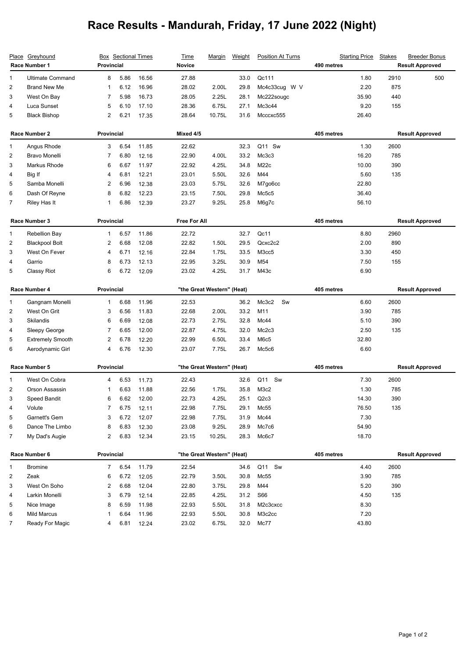## **Race Results - Mandurah, Friday, 17 June 2022 (Night)**

| Greyhound<br><u>Place</u><br>Race Number 1 |                         | <b>Box</b> Sectional Times<br>Provincial |      |           | <b>Time</b><br><b>Novice</b> | <u>Marqin</u> | <b>Weight</b> | <b>Position At Turns</b>             | <b>Starting Price</b><br>490 metres | <b>Stakes</b>          | <b>Breeder Bonus</b><br><b>Result Approved</b> |
|--------------------------------------------|-------------------------|------------------------------------------|------|-----------|------------------------------|---------------|---------------|--------------------------------------|-------------------------------------|------------------------|------------------------------------------------|
| 1                                          | <b>Ultimate Command</b> | 8                                        | 5.86 | 16.56     | 27.88                        |               | 33.0          | Qc111                                | 1.80                                | 2910                   | 500                                            |
| 2                                          | <b>Brand New Me</b>     | -1                                       | 6.12 | 16.96     | 28.02                        | 2.00L         | 29.8          | Mc4c33cug W V                        | 2.20                                | 875                    |                                                |
| 3                                          | West On Bay             | 7                                        | 5.98 | 16.73     | 28.05                        | 2.25L         | 28.1          | Mc222sougc                           | 35.90                               | 440                    |                                                |
| 4                                          | Luca Sunset             | 5                                        | 6.10 | 17.10     | 28.36                        | 6.75L         | 27.1          | Mc3c44                               | 9.20                                | 155                    |                                                |
| 5                                          | <b>Black Bishop</b>     | 2                                        | 6.21 | 17.35     | 28.64                        | 10.75L        | 31.6          | Mcccxc555                            | 26.40                               |                        |                                                |
|                                            | Race Number 2           | <b>Provincial</b>                        |      | Mixed 4/5 |                              |               |               | 405 metres                           |                                     | <b>Result Approved</b> |                                                |
| 1                                          | Angus Rhode             | 3                                        | 6.54 | 11.85     | 22.62                        |               | 32.3          | Q11 Sw                               | 1.30                                | 2600                   |                                                |
| 2                                          | <b>Bravo Monelli</b>    | 7                                        | 6.80 | 12.16     | 22.90                        | 4.00L         | 33.2          | Mc3c3                                | 16.20                               | 785                    |                                                |
| 3                                          | Markus Rhode            | 6                                        | 6.67 | 11.97     | 22.92                        | 4.25L         | 34.8          | M <sub>22</sub> c                    | 10.00                               | 390                    |                                                |
| 4                                          | Big If                  | 4                                        | 6.81 | 12.21     | 23.01                        | 5.50L         | 32.6          | M44                                  | 5.60                                | 135                    |                                                |
| 5                                          | Samba Monelli           | $\overline{2}$                           | 6.96 | 12.38     | 23.03                        | 5.75L         | 32.6          | M7go6cc                              | 22.80                               |                        |                                                |
| 6                                          | Dash Of Reyne           | 8                                        | 6.82 | 12.23     | 23.15                        | 7.50L         | 29.8          | Mc5c5                                | 36.40                               |                        |                                                |
| $\overline{7}$                             | Riley Has It            | 1                                        | 6.86 | 12.39     | 23.27                        | 9.25L         | 25.8          | M6g7c                                | 56.10                               |                        |                                                |
| Race Number 3                              |                         | <b>Provincial</b>                        |      |           | Free For All                 |               |               | 405 metres                           | <b>Result Approved</b>              |                        |                                                |
| 1                                          | Rebellion Bay           | 1                                        | 6.57 | 11.86     | 22.72                        |               | 32.7          | Qc11                                 | 8.80                                | 2960                   |                                                |
| 2                                          | <b>Blackpool Bolt</b>   | $\overline{2}$                           | 6.68 | 12.08     | 22.82                        | 1.50L         | 29.5          | Qcxc2c2                              | 2.00                                | 890                    |                                                |
| 3                                          | West On Fever           | 4                                        | 6.71 | 12.16     | 22.84                        | 1.75L         | 33.5          | M3cc5                                | 3.30                                | 450                    |                                                |
| 4                                          | Garrio                  | 8                                        | 6.73 | 12.13     | 22.95                        | 3.25L         | 30.9          | M54                                  | 7.50                                | 155                    |                                                |
| 5                                          | Classy Riot             | 6                                        | 6.72 | 12.09     | 23.02                        | 4.25L         | 31.7          | M43c                                 | 6.90                                |                        |                                                |
| Race Number 4                              |                         | <b>Provincial</b>                        |      |           | "the Great Western" (Heat)   |               |               | 405 metres<br><b>Result Approved</b> |                                     |                        |                                                |
| 1                                          | Gangnam Monelli         | $\mathbf{1}$                             | 6.68 | 11.96     | 22.53                        |               | 36.2          | Mc3c2<br>Sw                          | 6.60                                | 2600                   |                                                |
| 2                                          | West On Grit            | 3                                        | 6.56 | 11.83     | 22.68                        | 2.00L         | 33.2          | M11                                  | 3.90                                | 785                    |                                                |
| 3                                          | Skilandis               | 6                                        | 6.69 | 12.08     | 22.73                        | 2.75L         | 32.8          | Mc44                                 | 5.10                                | 390                    |                                                |
| 4                                          | Sleepy George           | 7                                        | 6.65 | 12.00     | 22.87                        | 4.75L         | 32.0          | Mc2c3                                | 2.50                                | 135                    |                                                |
| 5                                          | <b>Extremely Smooth</b> | $\overline{c}$                           | 6.78 | 12.20     | 22.99                        | 6.50L         | 33.4          | M6c5                                 | 32.80                               |                        |                                                |
| 6                                          | Aerodynamic Girl        | 4                                        | 6.76 | 12.30     | 23.07                        | 7.75L         | 26.7          | Mc5c6                                | 6.60                                |                        |                                                |
| Race Number 5                              |                         | Provincial                               |      |           | "the Great Western" (Heat)   |               |               | 405 metres                           |                                     | <b>Result Approved</b> |                                                |
| 1                                          | West On Cobra           | 4                                        | 6.53 | 11.73     | 22.43                        |               | 32.6          | Q11 Sw                               | 7.30                                | 2600                   |                                                |
| 2                                          | Orson Assassin          | -1                                       | 6.63 | 11.88     | 22.56                        | 1.75L         | 35.8          | M <sub>3</sub> c2                    | 1.30                                | 785                    |                                                |
| 3                                          | Speed Bandit            | 6                                        | 6.62 | 12.00     | 22.73                        | 4.25L         | 25.1          | Q2c3                                 | 14.30                               | 390                    |                                                |
| 4                                          | Volute                  | 7                                        | 6.75 | 12.11     | 22.98                        | 7.75L         | 29.1          | Mc55                                 | 76.50                               | 135                    |                                                |
| 5                                          | Garnett's Gem           | 3                                        | 6.72 | 12.07     | 22.98                        | 7.75L         | 31.9          | Mc44                                 | 7.30                                |                        |                                                |
| 6                                          | Dance The Limbo         | 8                                        | 6.83 | 12.30     | 23.08                        | 9.25L         | 28.9          | Mc7c6                                | 54.90                               |                        |                                                |
| 7                                          | My Dad's Augie          | $\overline{2}$                           | 6.83 | 12.34     | 23.15                        | 10.25L        | 28.3          | Mc6c7                                | 18.70                               |                        |                                                |
| Race Number 6                              |                         | Provincial                               |      |           | "the Great Western" (Heat)   |               |               | 405 metres                           |                                     | <b>Result Approved</b> |                                                |
| 1                                          | Bromine                 | $\overline{7}$                           | 6.54 | 11.79     | 22.54                        |               | 34.6          | Q11 Sw                               | 4.40                                | 2600                   |                                                |
| 2                                          | Zeak                    | 6                                        | 6.72 | 12.05     | 22.79                        | 3.50L         | 30.8          | Mc55                                 | 3.90                                | 785                    |                                                |
|                                            |                         |                                          |      | 12.04     | 22.80                        | 3.75L         | 29.8          | M44                                  | 5.20                                | 390                    |                                                |
| 3                                          | West On Soho            | 2                                        | 6.68 |           |                              |               |               |                                      |                                     |                        |                                                |
| 4                                          | Larkin Monelli          | 3                                        | 6.79 | 12.14     | 22.85                        | 4.25L         | 31.2          | S66                                  | 4.50                                | 135                    |                                                |
| 5                                          | Nice Image              | 8                                        | 6.59 | 11.98     | 22.93                        | 5.50L         | 31.8          | M2c3cxcc                             | 8.30                                |                        |                                                |
| 6                                          | Mild Marcus             | $\mathbf{1}$                             | 6.64 | 11.96     | 22.93                        | 5.50L         | 30.8          | M3c2cc                               | 7.20                                |                        |                                                |